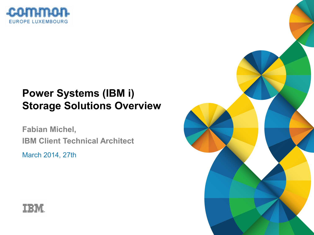

## **Power Systems (IBM i) Storage Solutions Overview**

**Fabian Michel, IBM Client Technical Architect**

March 2014, 27th



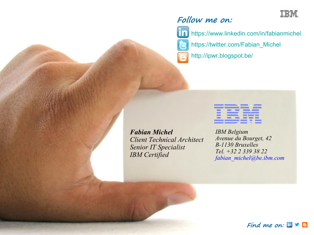

#### **Follow me on:**



<https://www.linkedin.com/in/fabianmichel> [https://twitter.com/Fabian\\_Michel](https://twitter.com/Fabian_Michel) <http://ipwr.blogspot.be/>



*Fabian Michel Client Technical Architect Senior IT Specialist IBM Certified*

*IBM Belgium Avenue du Bourget, 42 B-1130 Bruxelles Tel. +32 2 339 38 22 fabian\_michel@be.ibm.com*

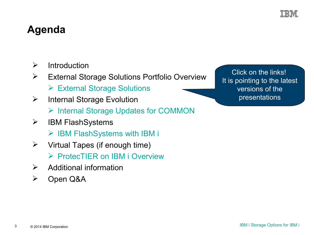

### **Agenda**

- $\triangleright$  Introduction
- External Storage Solutions Portfolio Overview
	- [External Storage Solutions](http://www-03.ibm.com/support/techdocs/atsmastr.nsf/WebIndex/PRS5199)
- $\triangleright$  Internal Storage Evolution
	- $\triangleright$  [Internal Storage Updates for COMMON](file:///C:/Users/IBM_ADMIN/Desktop/COMMON%20Lux%20Storage/Internal%20Storage%20Updates%20for%20COMMON.pdf)
- $\triangleright$  IBM FlashSystems
	- $\triangleright$  [IBM FlashSystems](http://www-03.ibm.com/support/techdocs/atsmastr.nsf/WebIndex/PRS5184) [with IBM i](http://www-03.ibm.com/support/techdocs/atsmastr.nsf/WebIndex/PRS5184)
- $\triangleright$  Virtual Tapes (if enough time)
	- ▶ [ProtecTIER on IBM i Overview](http://www-03.ibm.com/support/techdocs/atsmastr.nsf/WebIndex/PRS4737)
- $\triangleright$  Additional information
- Open Q&A

Click on the links! It is pointing to the latest versions of the presentations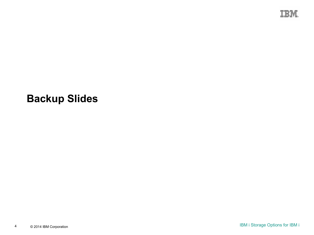

### **Backup Slides**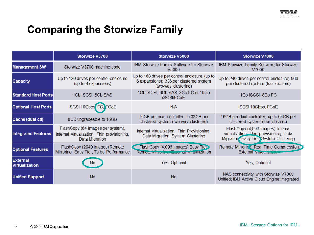

## **Comparing the Storwize Family**

|                                          | Storwize V3700                                                                                     | Storwize V5000                                                                                                   | Storwize V7000                                                                                                           |
|------------------------------------------|----------------------------------------------------------------------------------------------------|------------------------------------------------------------------------------------------------------------------|--------------------------------------------------------------------------------------------------------------------------|
| <b>Management SW</b>                     | Storwize V3700 machine code                                                                        | IBM Storwize Family Software for Storwize<br>V <sub>5000</sub>                                                   | IBM Storwize Family Software for Storwize<br>V7000                                                                       |
| <b>Capacity</b>                          | Up to 120 drives per control enclosure<br>(up to 4 expansions)                                     | Up to 168 drives per control enclosure (up to<br>6 expansions); 336 per clustered system<br>(two-way clustering) | Up to 240 drives per control enclosure; 960<br>per clustered system (four clusters)                                      |
| <b>Standard Host Ports</b>               | 1Gb iSCSI, 6Gb SAS                                                                                 | 1Gb iSCSI, 6Gb SAS, 8Gb FC or 10Gb<br><b>iSCSI/FCoE</b>                                                          | 1Gb iSCSI, 8Gb FC                                                                                                        |
| <b>Optional Host Ports</b>               | iSCSI 10Gbps FC, FCoE                                                                              | N/A                                                                                                              | iSCSI 10Gbps, FCoE                                                                                                       |
| Cache (dual ctl)                         | 8GB upgradeable to 16GB                                                                            | 16GB per dual controller, to 32GB per<br>clustered system (two-way clustered)                                    | 16GB per dual controller, up to 64GB per<br>clustered system (four clusters)                                             |
| <b>Integrated Features</b>               | FlashCopy (64 images per system),<br>Internal virtualization, Thin provisioning,<br>Data Migration | Internal virtualization, Thin Provisioning,<br>Data Migration, System Clustering                                 | FlashCopy (4,096 images), Internal<br>virtualization. Thin provisioning, Data<br>Migration, Easy Tier, System Clustering |
| <b>Optional Features</b>                 | FlashCopy (2040 images) Remote<br>Mirroring, Easy Tier, Turbo Performance                          | FlashCopy (4,096 images) Easy Tier><br>Remore Minicring, External Vinualization                                  | Remote Mirroring, Real Time Compression,<br>External vinualization                                                       |
| <b>External</b><br><b>Virtualization</b> |                                                                                                    | Yes, Optional                                                                                                    | Yes, Optional                                                                                                            |
| <b>Unified Support</b>                   | <b>No</b>                                                                                          | <b>No</b>                                                                                                        | NAS connectivity with Storwize V7000<br>Unified; IBM Active Cloud Engine integrated                                      |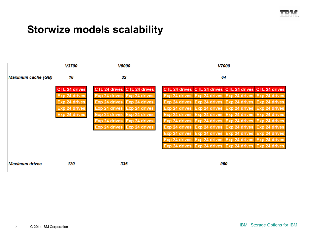

### **Storwize models scalability**

|                           | V3700                | <b>V5000</b>                | <b>V7000</b><br>64                                      |  |  |
|---------------------------|----------------------|-----------------------------|---------------------------------------------------------|--|--|
| <b>Maximum cache (GB)</b> | 16                   | 32                          |                                                         |  |  |
|                           | <b>CTL 24 drives</b> | CTL 24 drives CTL 24 drives | CTL 24 drives CTL 24 drives CTL 24 drives CTL 24 drives |  |  |
|                           | Exp 24 drives        | Exp 24 drives Exp 24 drives | Exp 24 drives Exp 24 drives Exp 24 drives Exp 24 drives |  |  |
|                           | Exp 24 drives        | Exp 24 drives Exp 24 drives | Exp 24 drives Exp 24 drives Exp 24 drives Exp 24 drives |  |  |
|                           | Exp 24 drives        | Exp 24 drives Exp 24 drives | Exp 24 drives Exp 24 drives Exp 24 drives Exp 24 drives |  |  |
|                           | Exp 24 drives        | Exp 24 drives Exp 24 drives | Exp 24 drives Exp 24 drives Exp 24 drives Exp 24 drives |  |  |
|                           |                      | Exp 24 drives Exp 24 drives | Exp 24 drives Exp 24 drives Exp 24 drives Exp 24 drives |  |  |
|                           |                      | Exp 24 drives Exp 24 drives | Exp 24 drives Exp 24 drives Exp 24 drives Exp 24 drives |  |  |
|                           |                      |                             | Exp 24 drives Exp 24 drives Exp 24 drives Exp 24 drives |  |  |
|                           |                      |                             | Exp 24 drives Exp 24 drives Exp 24 drives Exp 24 drives |  |  |
|                           |                      |                             | Exp 24 drives Exp 24 drives Exp 24 drives Exp 24 drives |  |  |

**Maximum drives** 

120

336

960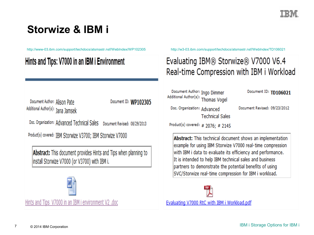

### **Storwize & IBM i**

<http://www-03.ibm.com/support/techdocs/atsmastr.nsf/WebIndex/WP102305> <http://w3-03.ibm.com/support/techdocs/atsmastr.nsf/WebIndex/TD106021>

### Hints and Tips: V7000 in an IBM i Environment

Document Author: Alison Pate Additional Author(s): Jana Jamsek Document ID: WP102305

Doc. Organization: Advanced Technical Sales Document Revised: 08/29/2013

Product(s) covered: IBM Storwize V3700; IBM Storwize V7000

**Abstract:** This document provides Hints and Tips when planning to install Storwize V7000 (or V3700) with IBM i.



Hints and Tips V7000 in an IBM i environment V2 .doc

### Evaluating IBM® Storwize® V7000 V6.4 Real-time Compression with IBM i Workload

Document Author: Ingo Dimmer Document Author: Ingo Dimmer<br>Additional Author(s): Thomas Vogel

Doc. Organization: Advanced **Technical Sales**  Document ID: TD106021

Document Revised: 09/23/2012

Product(s) covered: # 2076; # 2145

Abstract: This technical document shows an implementation example for using IBM Storwize V7000 real-time compression with IBM i data to evaluate its efficiency and performance. It is intended to help IBM technical sales and business partners to demonstrate the potential benefits of using SVC/Storwize real-time compression for IBM i workload.

Evaluating V7000 RtC with IBM i Workload.pdf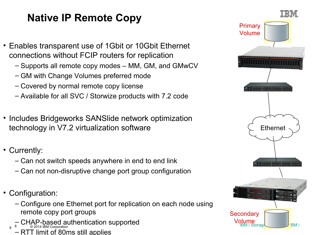# **Native IP Remote Copy**

- Enables transparent use of 1Gbit or 10Gbit Ethernet connections without FCIP routers for replication
	- Supports all remote copy modes MM, GM, and GMwCV
	- GM with Change Volumes preferred mode
	- Covered by normal remote copy license
	- Available for all SVC / Storwize products with 7.2 code
- Includes Bridgeworks SANSlide network optimization technology in V7.2 virtualization software
- Currently:
	- Can not switch speeds anywhere in end to end link
	- Can not non-disruptive change port group configuration
- Configuration:

8

- Configure one Ethernet port for replication on each node using remote copy port groups
- **EXAP-based authentication supported** and **CHAP-based authentication supported CHAP-based authentication supported**
- RTT limit of 80ms still applies

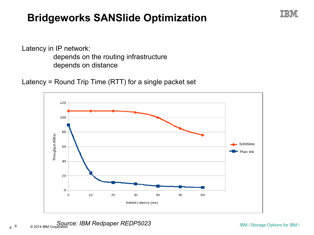## **Bridgeworks SANSlide Optimization**



Latency in IP network: depends on the routing infrastructure depends on distance

Latency = Round Trip Time (RTT) for a single packet set



<sup>9</sup>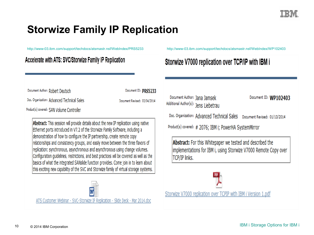

### **Storwize Family IP Replication**

<http://www-03.ibm.com/support/techdocs/atsmastr.nsf/WebIndex/PRS5233> <http://www-03.ibm.com/support/techdocs/atsmastr.nsf/WebIndex/WP102403>

| Accelerate with ATS: SVC/Storwize Family IP Replication                                                                                                                                                                                                                                                                                                                                                                                                                                                                                                                                                                                                                                                     |                                                      | Storwize V7000 replication over TCP/IP with IBM i                                                                                                                                                                                                                                            |                       |
|-------------------------------------------------------------------------------------------------------------------------------------------------------------------------------------------------------------------------------------------------------------------------------------------------------------------------------------------------------------------------------------------------------------------------------------------------------------------------------------------------------------------------------------------------------------------------------------------------------------------------------------------------------------------------------------------------------------|------------------------------------------------------|----------------------------------------------------------------------------------------------------------------------------------------------------------------------------------------------------------------------------------------------------------------------------------------------|-----------------------|
| Document Author: Robert Deutsch<br>Doc. Organization: Advanced Technical Sales<br>Product(s) covered: SAN Volume Controller                                                                                                                                                                                                                                                                                                                                                                                                                                                                                                                                                                                 | Document ID: PRS5233<br>Document Revised: 03/04/2014 | Document Author: Jana Jamsek<br>Additional Author(s): Jens Liebetrau                                                                                                                                                                                                                         | Document ID: WP102403 |
| Abstract: This session will provide details about the new IP replication using native<br>Ethernet ports introduced in V7.2 of the Storwize Family Software, including a<br>demonstration of how to configure the IP partnership, create remote copy<br>relationships and consistency groups, and easily move between the three flavors of<br>replication: synchronous, asynchronous and asynchronous using change volumes.<br>Configuration guidelines, restrictions, and best practices will be covered as well as the<br>basics of what the integrated SANslide function provides. Come join in to learn about<br>this exciting new capability of the SVC and Storwize family of virtual storage systems. |                                                      | Doc. Organization: Advanced Technical Sales Document Revised: 01/13/2014<br>Product(s) covered: # 2076; IBM i; PowerHA SystemMirror<br><b>Abstract:</b> For this Whitepaper we tested and described the<br>implementations for IBM i, using Storwize V7000 Remote Copy over<br>TCP/IP links. |                       |
| ATS Customer Webinar - SVC-Storwize IP Replication - Slide Deck - Mar 2014.doc                                                                                                                                                                                                                                                                                                                                                                                                                                                                                                                                                                                                                              |                                                      | Storwize V7000 replication over TCPIP with IBM i Version 1.pdf                                                                                                                                                                                                                               |                       |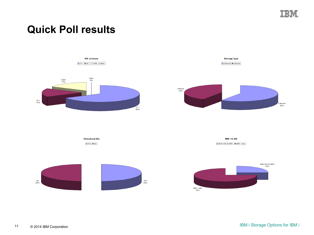

External 58%

### **Quick Poll results**